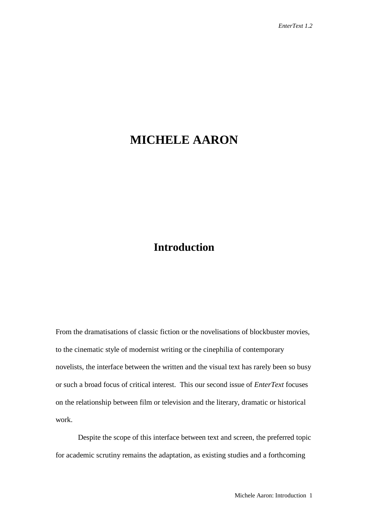## **MICHELE AARON**

## **Introduction**

From the dramatisations of classic fiction or the novelisations of blockbuster movies, to the cinematic style of modernist writing or the cinephilia of contemporary novelists, the interface between the written and the visual text has rarely been so busy or such a broad focus of critical interest. This our second issue of *EnterText* focuses on the relationship between film or television and the literary, dramatic or historical work.

Despite the scope of this interface between text and screen, the preferred topic for academic scrutiny remains the adaptation, as existing studies and a forthcoming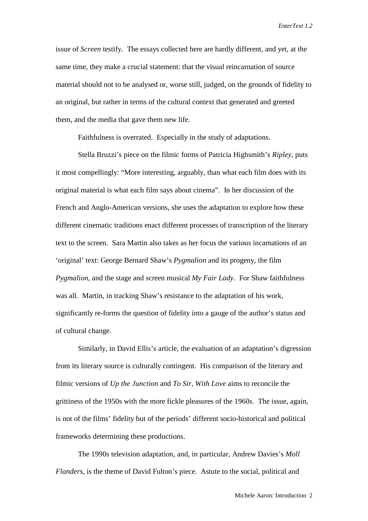issue of *Screen* testify. The essays collected here are hardly different, and yet, at the same time, they make a crucial statement: that the visual reincarnation of source material should not to be analysed or, worse still, judged, on the grounds of fidelity to an original, but rather in terms of the cultural context that generated and greeted them, and the media that gave them new life.

Faithfulness is overrated. Especially in the study of adaptations.

Stella Bruzzi's piece on the filmic forms of Patricia Highsmith's *Ripley*, puts it most compellingly: "More interesting, arguably, than what each film does with its original material is what each film says about cinema". In her discussion of the French and Anglo-American versions, she uses the adaptation to explore how these different cinematic traditions enact different processes of transcription of the literary text to the screen. Sara Martin also takes as her focus the various incarnations of an 'original' text: George Bernard Shaw's *Pygmalion* and its progeny, the film *Pygmalion*, and the stage and screen musical *My Fair Lady*. For Shaw faithfulness was all. Martin, in tracking Shaw's resistance to the adaptation of his work, significantly re-forms the question of fidelity into a gauge of the author's status and of cultural change.

Similarly, in David Ellis's article, the evaluation of an adaptation's digression from its literary source is culturally contingent. His comparison of the literary and filmic versions of *Up the Junction* and *To Sir, With Love* aims to reconcile the grittiness of the 1950s with the more fickle pleasures of the 1960s. The issue, again, is not of the films' fidelity but of the periods' different socio-historical and political frameworks determining these productions.

The 1990s television adaptation, and, in particular, Andrew Davies's *Moll Flanders*, is the theme of David Fulton's piece. Astute to the social, political and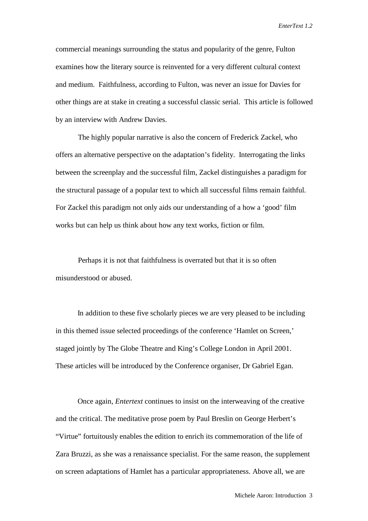commercial meanings surrounding the status and popularity of the genre, Fulton examines how the literary source is reinvented for a very different cultural context and medium. Faithfulness, according to Fulton, was never an issue for Davies for other things are at stake in creating a successful classic serial. This article is followed by an interview with Andrew Davies.

The highly popular narrative is also the concern of Frederick Zackel, who offers an alternative perspective on the adaptation's fidelity. Interrogating the links between the screenplay and the successful film, Zackel distinguishes a paradigm for the structural passage of a popular text to which all successful films remain faithful. For Zackel this paradigm not only aids our understanding of a how a 'good' film works but can help us think about how any text works, fiction or film.

Perhaps it is not that faithfulness is overrated but that it is so often misunderstood or abused.

In addition to these five scholarly pieces we are very pleased to be including in this themed issue selected proceedings of the conference 'Hamlet on Screen,' staged jointly by The Globe Theatre and King's College London in April 2001. These articles will be introduced by the Conference organiser, Dr Gabriel Egan.

Once again, *Entertext* continues to insist on the interweaving of the creative and the critical. The meditative prose poem by Paul Breslin on George Herbert's "Virtue" fortuitously enables the edition to enrich its commemoration of the life of Zara Bruzzi, as she was a renaissance specialist. For the same reason, the supplement on screen adaptations of Hamlet has a particular appropriateness. Above all, we are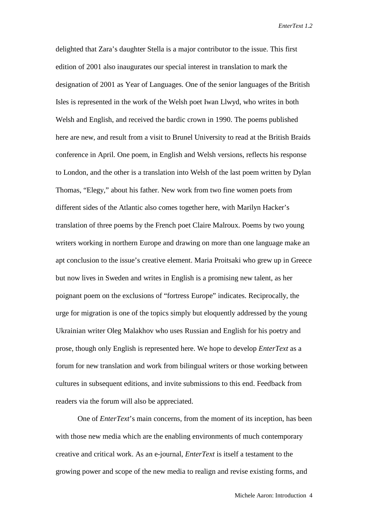delighted that Zara's daughter Stella is a major contributor to the issue. This first edition of 2001 also inaugurates our special interest in translation to mark the designation of 2001 as Year of Languages. One of the senior languages of the British Isles is represented in the work of the Welsh poet Iwan Llwyd, who writes in both Welsh and English, and received the bardic crown in 1990. The poems published here are new, and result from a visit to Brunel University to read at the British Braids conference in April. One poem, in English and Welsh versions, reflects his response to London, and the other is a translation into Welsh of the last poem written by Dylan Thomas, "Elegy," about his father. New work from two fine women poets from different sides of the Atlantic also comes together here, with Marilyn Hacker's translation of three poems by the French poet Claire Malroux. Poems by two young writers working in northern Europe and drawing on more than one language make an apt conclusion to the issue's creative element. Maria Proitsaki who grew up in Greece but now lives in Sweden and writes in English is a promising new talent, as her poignant poem on the exclusions of "fortress Europe" indicates. Reciprocally, the urge for migration is one of the topics simply but eloquently addressed by the young Ukrainian writer Oleg Malakhov who uses Russian and English for his poetry and prose, though only English is represented here. We hope to develop *EnterText* as a forum for new translation and work from bilingual writers or those working between cultures in subsequent editions, and invite submissions to this end. Feedback from readers via the forum will also be appreciated.

One of *EnterText*'s main concerns, from the moment of its inception, has been with those new media which are the enabling environments of much contemporary creative and critical work. As an e-journal, *EnterText* is itself a testament to the growing power and scope of the new media to realign and revise existing forms, and